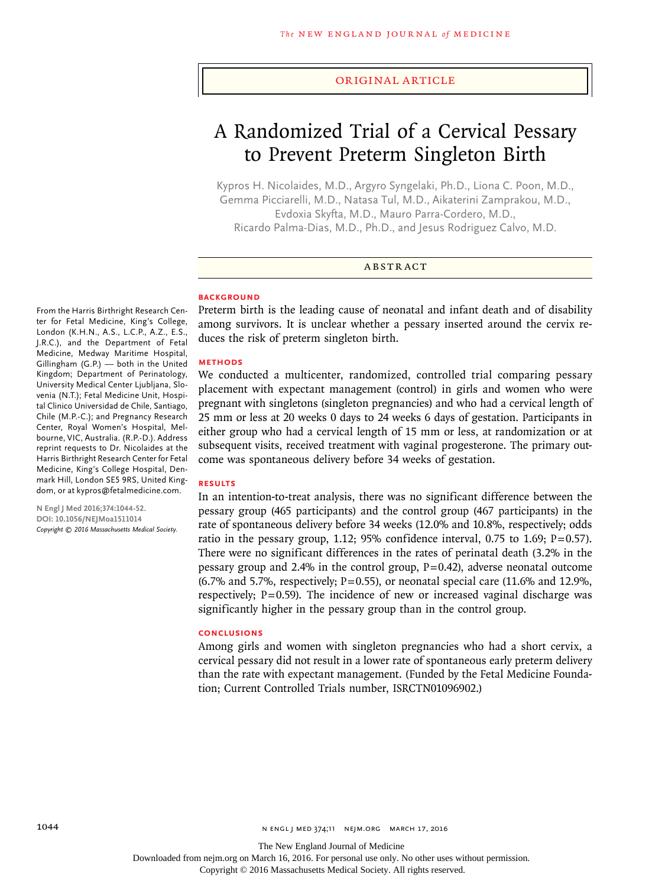#### Original Article

# A Randomized Trial of a Cervical Pessary to Prevent Preterm Singleton Birth

Kypros H. Nicolaides, M.D., Argyro Syngelaki, Ph.D., Liona C. Poon, M.D., Gemma Picciarelli, M.D., Natasa Tul, M.D., Aikaterini Zamprakou, M.D., Evdoxia Skyfta, M.D., Mauro Parra-Cordero, M.D., Ricardo Palma-Dias, M.D., Ph.D., and Jesus Rodriguez Calvo, M.D.

#### ABSTRACT

## **BACKGROUND**

From the Harris Birthright Research Center for Fetal Medicine, King's College, London (K.H.N., A.S., L.C.P., A.Z., E.S., J.R.C.), and the Department of Fetal Medicine, Medway Maritime Hospital, Gillingham (G.P.) — both in the United Kingdom; Department of Perinatology, University Medical Center Ljubljana, Slovenia (N.T.); Fetal Medicine Unit, Hospital Clinico Universidad de Chile, Santiago, Chile (M.P.-C.); and Pregnancy Research Center, Royal Women's Hospital, Melbourne, VIC, Australia. (R.P.-D.). Address reprint requests to Dr. Nicolaides at the Harris Birthright Research Center for Fetal Medicine, King's College Hospital, Denmark Hill, London SE5 9RS, United Kingdom, or at kypros@fetalmedicine.com.

**N Engl J Med 2016;374:1044-52. DOI: 10.1056/NEJMoa1511014** *Copyright © 2016 Massachusetts Medical Society.* Preterm birth is the leading cause of neonatal and infant death and of disability among survivors. It is unclear whether a pessary inserted around the cervix reduces the risk of preterm singleton birth.

## **METHODS**

We conducted a multicenter, randomized, controlled trial comparing pessary placement with expectant management (control) in girls and women who were pregnant with singletons (singleton pregnancies) and who had a cervical length of 25 mm or less at 20 weeks 0 days to 24 weeks 6 days of gestation. Participants in either group who had a cervical length of 15 mm or less, at randomization or at subsequent visits, received treatment with vaginal progesterone. The primary outcome was spontaneous delivery before 34 weeks of gestation.

#### **RESULTS**

In an intention-to-treat analysis, there was no significant difference between the pessary group (465 participants) and the control group (467 participants) in the rate of spontaneous delivery before 34 weeks (12.0% and 10.8%, respectively; odds ratio in the pessary group, 1.12; 95% confidence interval, 0.75 to 1.69;  $P=0.57$ ). There were no significant differences in the rates of perinatal death (3.2% in the pessary group and 2.4% in the control group,  $P=0.42$ ), adverse neonatal outcome  $(6.7\%$  and 5.7%, respectively; P=0.55), or neonatal special care  $(11.6\%$  and 12.9%, respectively;  $P=0.59$ ). The incidence of new or increased vaginal discharge was significantly higher in the pessary group than in the control group.

#### **CONCLUSIONS**

Among girls and women with singleton pregnancies who had a short cervix, a cervical pessary did not result in a lower rate of spontaneous early preterm delivery than the rate with expectant management. (Funded by the Fetal Medicine Foundation; Current Controlled Trials number, ISRCTN01096902.)

Downloaded from nejm.org on March 16, 2016. For personal use only. No other uses without permission.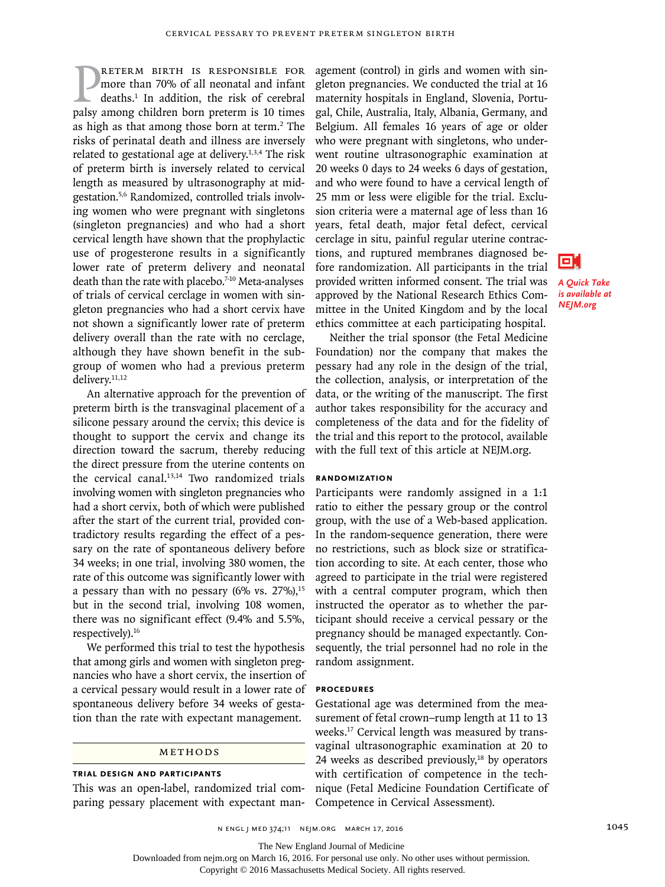**PALETERM BIRTH IS RESPONSIBLE FOR**<br>more than 70% of all neonatal and infant<br>deaths.<sup>1</sup> In addition, the risk of cerebral<br>palsy among children born preterm is 10 times reterm birth is responsible for more than 70% of all neonatal and infant deaths.1 In addition, the risk of cerebral as high as that among those born at term.<sup>2</sup> The risks of perinatal death and illness are inversely related to gestational age at delivery.<sup>1,3,4</sup> The risk of preterm birth is inversely related to cervical length as measured by ultrasonography at midgestation.5,6 Randomized, controlled trials involving women who were pregnant with singletons (singleton pregnancies) and who had a short cervical length have shown that the prophylactic use of progesterone results in a significantly lower rate of preterm delivery and neonatal death than the rate with placebo.<sup>7-10</sup> Meta-analyses of trials of cervical cerclage in women with singleton pregnancies who had a short cervix have not shown a significantly lower rate of preterm delivery overall than the rate with no cerclage, although they have shown benefit in the subgroup of women who had a previous preterm delivery.<sup>11,12</sup>

An alternative approach for the prevention of preterm birth is the transvaginal placement of a silicone pessary around the cervix; this device is thought to support the cervix and change its direction toward the sacrum, thereby reducing the direct pressure from the uterine contents on the cervical canal.<sup>13,14</sup> Two randomized trials involving women with singleton pregnancies who had a short cervix, both of which were published after the start of the current trial, provided contradictory results regarding the effect of a pessary on the rate of spontaneous delivery before 34 weeks; in one trial, involving 380 women, the rate of this outcome was significantly lower with a pessary than with no pessary  $(6\%$  vs. 27%),<sup>15</sup> but in the second trial, involving 108 women, there was no significant effect (9.4% and 5.5%, respectively).16

We performed this trial to test the hypothesis that among girls and women with singleton pregnancies who have a short cervix, the insertion of a cervical pessary would result in a lower rate of spontaneous delivery before 34 weeks of gestation than the rate with expectant management.

#### **METHODS**

#### **Trial Design and Participants**

This was an open-label, randomized trial comparing pessary placement with expectant management (control) in girls and women with singleton pregnancies. We conducted the trial at 16 maternity hospitals in England, Slovenia, Portugal, Chile, Australia, Italy, Albania, Germany, and Belgium. All females 16 years of age or older who were pregnant with singletons, who underwent routine ultrasonographic examination at 20 weeks 0 days to 24 weeks 6 days of gestation, and who were found to have a cervical length of 25 mm or less were eligible for the trial. Exclusion criteria were a maternal age of less than 16 years, fetal death, major fetal defect, cervical cerclage in situ, painful regular uterine contractions, and ruptured membranes diagnosed before randomization. All participants in the trial provided written informed consent. The trial was approved by the National Research Ethics Committee in the United Kingdom and by the local ethics committee at each participating hospital.



*A Quick Take is available at NEJM.org*

Neither the trial sponsor (the Fetal Medicine Foundation) nor the company that makes the pessary had any role in the design of the trial, the collection, analysis, or interpretation of the data, or the writing of the manuscript. The first author takes responsibility for the accuracy and completeness of the data and for the fidelity of the trial and this report to the protocol, available with the full text of this article at NEJM.org.

#### **Randomization**

Participants were randomly assigned in a 1:1 ratio to either the pessary group or the control group, with the use of a Web-based application. In the random-sequence generation, there were no restrictions, such as block size or stratification according to site. At each center, those who agreed to participate in the trial were registered with a central computer program, which then instructed the operator as to whether the participant should receive a cervical pessary or the pregnancy should be managed expectantly. Consequently, the trial personnel had no role in the random assignment.

#### **Procedures**

Gestational age was determined from the measurement of fetal crown–rump length at 11 to 13 weeks.17 Cervical length was measured by transvaginal ultrasonographic examination at 20 to 24 weeks as described previously, $18$  by operators with certification of competence in the technique (Fetal Medicine Foundation Certificate of Competence in Cervical Assessment).

The New England Journal of Medicine

Downloaded from nejm.org on March 16, 2016. For personal use only. No other uses without permission.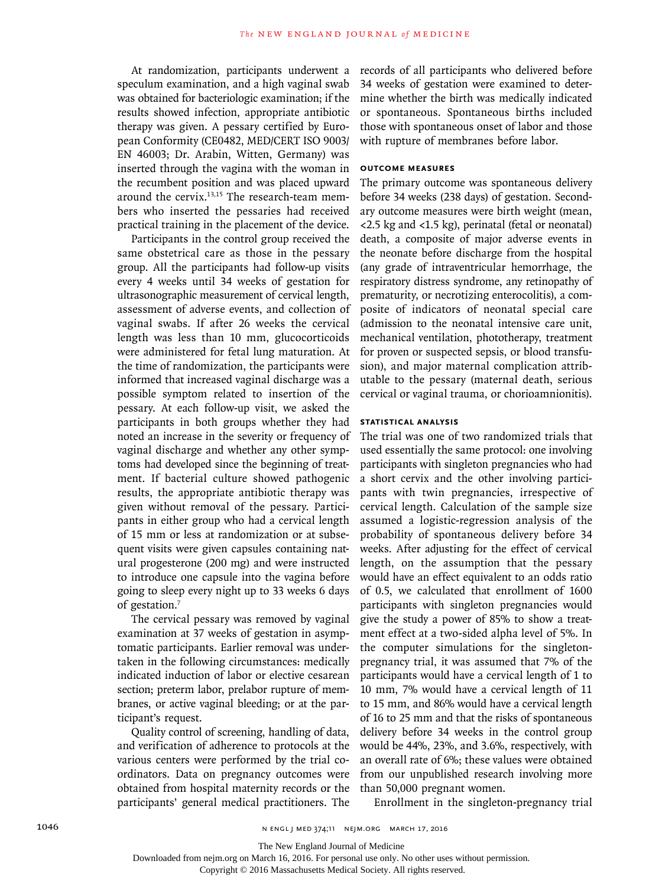At randomization, participants underwent a speculum examination, and a high vaginal swab was obtained for bacteriologic examination; if the results showed infection, appropriate antibiotic therapy was given. A pessary certified by European Conformity (CE0482, MED/CERT ISO 9003/ EN 46003; Dr. Arabin, Witten, Germany) was inserted through the vagina with the woman in the recumbent position and was placed upward around the cervix.<sup>13,15</sup> The research-team members who inserted the pessaries had received practical training in the placement of the device.

Participants in the control group received the same obstetrical care as those in the pessary group. All the participants had follow-up visits every 4 weeks until 34 weeks of gestation for ultrasonographic measurement of cervical length, assessment of adverse events, and collection of vaginal swabs. If after 26 weeks the cervical length was less than 10 mm, glucocorticoids were administered for fetal lung maturation. At the time of randomization, the participants were informed that increased vaginal discharge was a possible symptom related to insertion of the pessary. At each follow-up visit, we asked the participants in both groups whether they had noted an increase in the severity or frequency of vaginal discharge and whether any other symptoms had developed since the beginning of treatment. If bacterial culture showed pathogenic results, the appropriate antibiotic therapy was given without removal of the pessary. Participants in either group who had a cervical length of 15 mm or less at randomization or at subsequent visits were given capsules containing natural progesterone (200 mg) and were instructed to introduce one capsule into the vagina before going to sleep every night up to 33 weeks 6 days of gestation.<sup>7</sup>

The cervical pessary was removed by vaginal examination at 37 weeks of gestation in asymptomatic participants. Earlier removal was undertaken in the following circumstances: medically indicated induction of labor or elective cesarean section; preterm labor, prelabor rupture of membranes, or active vaginal bleeding; or at the participant's request.

Quality control of screening, handling of data, and verification of adherence to protocols at the various centers were performed by the trial coordinators. Data on pregnancy outcomes were obtained from hospital maternity records or the participants' general medical practitioners. The

records of all participants who delivered before 34 weeks of gestation were examined to determine whether the birth was medically indicated or spontaneous. Spontaneous births included those with spontaneous onset of labor and those with rupture of membranes before labor.

#### **Outcome Measures**

The primary outcome was spontaneous delivery before 34 weeks (238 days) of gestation. Secondary outcome measures were birth weight (mean, <2.5 kg and <1.5 kg), perinatal (fetal or neonatal) death, a composite of major adverse events in the neonate before discharge from the hospital (any grade of intraventricular hemorrhage, the respiratory distress syndrome, any retinopathy of prematurity, or necrotizing enterocolitis), a composite of indicators of neonatal special care (admission to the neonatal intensive care unit, mechanical ventilation, phototherapy, treatment for proven or suspected sepsis, or blood transfusion), and major maternal complication attributable to the pessary (maternal death, serious cervical or vaginal trauma, or chorioamnionitis).

## **Statistical Analysis**

The trial was one of two randomized trials that used essentially the same protocol: one involving participants with singleton pregnancies who had a short cervix and the other involving participants with twin pregnancies, irrespective of cervical length. Calculation of the sample size assumed a logistic-regression analysis of the probability of spontaneous delivery before 34 weeks. After adjusting for the effect of cervical length, on the assumption that the pessary would have an effect equivalent to an odds ratio of 0.5, we calculated that enrollment of 1600 participants with singleton pregnancies would give the study a power of 85% to show a treatment effect at a two-sided alpha level of 5%. In the computer simulations for the singletonpregnancy trial, it was assumed that 7% of the participants would have a cervical length of 1 to 10 mm, 7% would have a cervical length of 11 to 15 mm, and 86% would have a cervical length of 16 to 25 mm and that the risks of spontaneous delivery before 34 weeks in the control group would be 44%, 23%, and 3.6%, respectively, with an overall rate of 6%; these values were obtained from our unpublished research involving more than 50,000 pregnant women.

Enrollment in the singleton-pregnancy trial

The New England Journal of Medicine

Downloaded from nejm.org on March 16, 2016. For personal use only. No other uses without permission.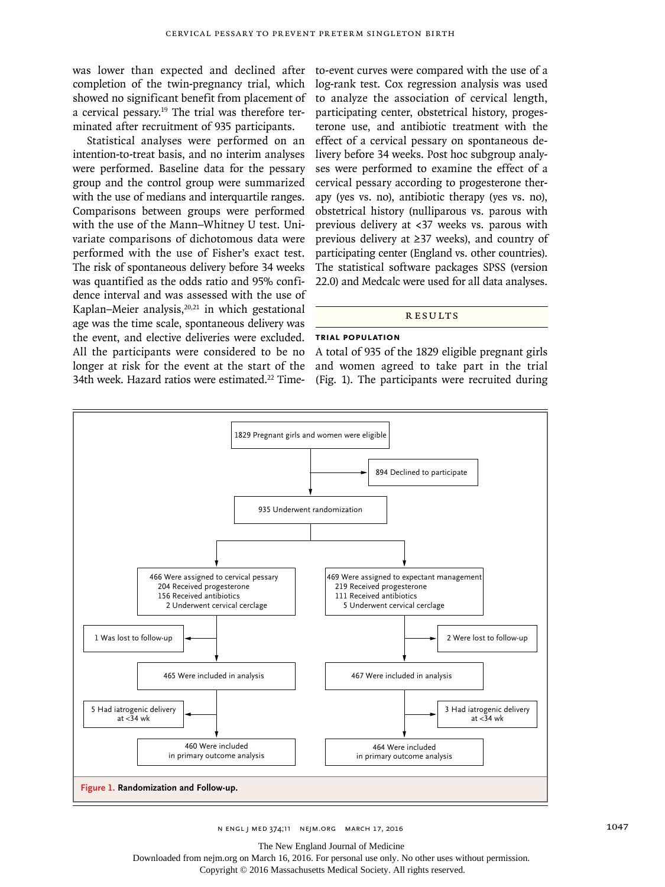was lower than expected and declined after completion of the twin-pregnancy trial, which showed no significant benefit from placement of a cervical pessary.19 The trial was therefore terminated after recruitment of 935 participants.

Statistical analyses were performed on an intention-to-treat basis, and no interim analyses were performed. Baseline data for the pessary group and the control group were summarized with the use of medians and interquartile ranges. Comparisons between groups were performed with the use of the Mann–Whitney U test. Univariate comparisons of dichotomous data were performed with the use of Fisher's exact test. The risk of spontaneous delivery before 34 weeks was quantified as the odds ratio and 95% confidence interval and was assessed with the use of Kaplan–Meier analysis, $20,21$  in which gestational age was the time scale, spontaneous delivery was the event, and elective deliveries were excluded. All the participants were considered to be no longer at risk for the event at the start of the 34th week. Hazard ratios were estimated.<sup>22</sup> Time-

to-event curves were compared with the use of a log-rank test. Cox regression analysis was used to analyze the association of cervical length, participating center, obstetrical history, progesterone use, and antibiotic treatment with the effect of a cervical pessary on spontaneous delivery before 34 weeks. Post hoc subgroup analyses were performed to examine the effect of a cervical pessary according to progesterone therapy (yes vs. no), antibiotic therapy (yes vs. no), obstetrical history (nulliparous vs. parous with previous delivery at <37 weeks vs. parous with previous delivery at ≥37 weeks), and country of participating center (England vs. other countries). The statistical software packages SPSS (version 22.0) and Medcalc were used for all data analyses.

## **RESULTS**

## **Trial Population**

A total of 935 of the 1829 eligible pregnant girls and women agreed to take part in the trial (Fig. 1). The participants were recruited during



The New England Journal of Medicine

Downloaded from nejm.org on March 16, 2016. For personal use only. No other uses without permission.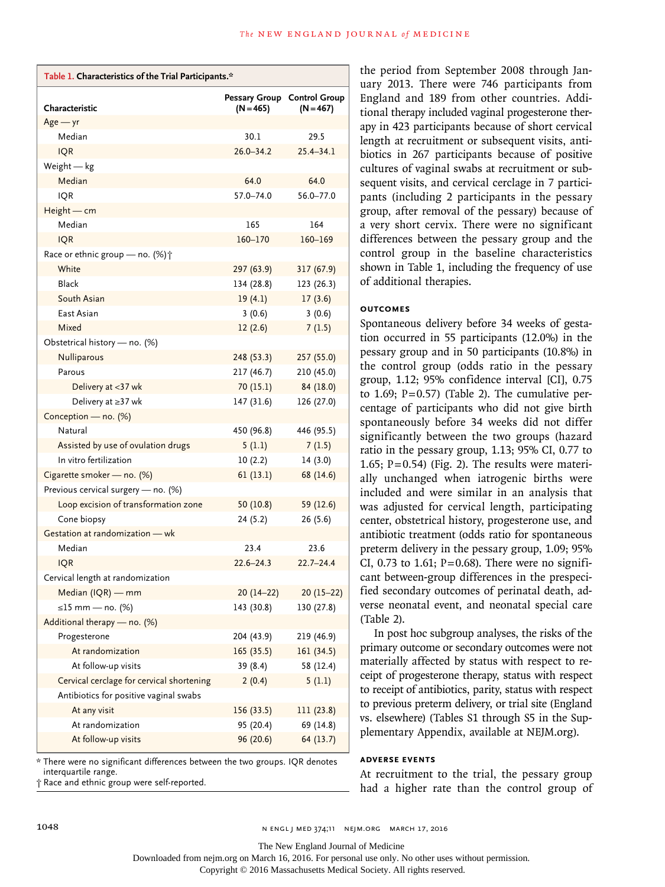| Table 1. Characteristics of the Trial Participants.* |               |                                            |  |  |
|------------------------------------------------------|---------------|--------------------------------------------|--|--|
| Characteristic                                       | $(N = 465)$   | Pessary Group Control Group<br>$(N = 467)$ |  |  |
| $Age - yr$                                           |               |                                            |  |  |
| Median                                               | 30.1          | 29.5                                       |  |  |
| <b>IQR</b>                                           | $26.0 - 34.2$ | $25.4 - 34.1$                              |  |  |
| Weight - kg                                          |               |                                            |  |  |
| Median                                               | 64.0          | 64.0                                       |  |  |
| <b>IQR</b>                                           | 57.0-74.0     | 56.0-77.0                                  |  |  |
| $Height - cm$                                        |               |                                            |  |  |
| Median                                               | 165           | 164                                        |  |  |
| <b>IQR</b>                                           | 160-170       | 160-169                                    |  |  |
| Race or ethnic group - no. (%) $\dagger$             |               |                                            |  |  |
| White                                                | 297 (63.9)    | 317 (67.9)                                 |  |  |
| Black                                                | 134 (28.8)    | 123 (26.3)                                 |  |  |
| South Asian                                          | 19(4.1)       | 17(3.6)                                    |  |  |
| East Asian                                           | 3(0.6)        | 3(0.6)                                     |  |  |
| Mixed                                                | 12(2.6)       | 7(1.5)                                     |  |  |
| Obstetrical history - no. (%)                        |               |                                            |  |  |
| <b>Nulliparous</b>                                   | 248 (53.3)    | 257 (55.0)                                 |  |  |
| Parous                                               | 217(46.7)     | 210 (45.0)                                 |  |  |
| Delivery at <37 wk                                   | 70(15.1)      | 84 (18.0)                                  |  |  |
| Delivery at ≥37 wk                                   | 147 (31.6)    | 126 (27.0)                                 |  |  |
| Conception - no. (%)                                 |               |                                            |  |  |
| Natural                                              | 450 (96.8)    | 446 (95.5)                                 |  |  |
| Assisted by use of ovulation drugs                   | 5(1.1)        | 7(1.5)                                     |  |  |
| In vitro fertilization                               | 10(2.2)       | 14 (3.0)                                   |  |  |
| Cigarette smoker - no. (%)                           | 61(13.1)      | 68 (14.6)                                  |  |  |
| Previous cervical surgery - no. (%)                  |               |                                            |  |  |
| Loop excision of transformation zone                 | 50(10.8)      | 59 (12.6)                                  |  |  |
| Cone biopsy                                          | 24(5.2)       | 26(5.6)                                    |  |  |
| Gestation at randomization - wk                      |               |                                            |  |  |
| Median                                               | 23.4          | 23.6                                       |  |  |
| <b>IQR</b>                                           | $22.6 - 24.3$ | $22.7 - 24.4$                              |  |  |
| Cervical length at randomization                     |               |                                            |  |  |
| Median (IQR) - mm                                    | $20(14-22)$   | $20(15-22)$                                |  |  |
| ≤15 mm — no. (%)                                     | 143 (30.8)    | 130 (27.8)                                 |  |  |
| Additional therapy - no. (%)                         |               |                                            |  |  |
| Progesterone                                         | 204 (43.9)    | 219 (46.9)                                 |  |  |
| At randomization                                     | 165 (35.5)    | 161 (34.5)                                 |  |  |
| At follow-up visits                                  | 39 (8.4)      | 58 (12.4)                                  |  |  |
| Cervical cerclage for cervical shortening            | 2(0.4)        | 5(1.1)                                     |  |  |
| Antibiotics for positive vaginal swabs               |               |                                            |  |  |
| At any visit                                         | 156 (33.5)    | 111(23.8)                                  |  |  |
| At randomization                                     | 95 (20.4)     | 69 (14.8)                                  |  |  |
| At follow-up visits                                  | 96 (20.6)     | 64 (13.7)                                  |  |  |

\* There were no significant differences between the two groups. IQR denotes interquartile range.

† Race and ethnic group were self-reported.

the period from September 2008 through January 2013. There were 746 participants from England and 189 from other countries. Additional therapy included vaginal progesterone therapy in 423 participants because of short cervical length at recruitment or subsequent visits, antibiotics in 267 participants because of positive cultures of vaginal swabs at recruitment or subsequent visits, and cervical cerclage in 7 participants (including 2 participants in the pessary group, after removal of the pessary) because of a very short cervix. There were no significant differences between the pessary group and the control group in the baseline characteristics shown in Table 1, including the frequency of use of additional therapies.

## **Outcomes**

Spontaneous delivery before 34 weeks of gestation occurred in 55 participants (12.0%) in the pessary group and in 50 participants (10.8%) in the control group (odds ratio in the pessary group, 1.12; 95% confidence interval [CI], 0.75 to 1.69;  $P=0.57$ ) (Table 2). The cumulative percentage of participants who did not give birth spontaneously before 34 weeks did not differ significantly between the two groups (hazard ratio in the pessary group, 1.13; 95% CI, 0.77 to 1.65;  $P=0.54$ ) (Fig. 2). The results were materially unchanged when iatrogenic births were included and were similar in an analysis that was adjusted for cervical length, participating center, obstetrical history, progesterone use, and antibiotic treatment (odds ratio for spontaneous preterm delivery in the pessary group, 1.09; 95% CI, 0.73 to 1.61;  $P=0.68$ ). There were no significant between-group differences in the prespecified secondary outcomes of perinatal death, adverse neonatal event, and neonatal special care (Table 2).

In post hoc subgroup analyses, the risks of the primary outcome or secondary outcomes were not materially affected by status with respect to receipt of progesterone therapy, status with respect to receipt of antibiotics, parity, status with respect to previous preterm delivery, or trial site (England vs. elsewhere) (Tables S1 through S5 in the Supplementary Appendix, available at NEJM.org).

## **Adverse Events**

At recruitment to the trial, the pessary group had a higher rate than the control group of

The New England Journal of Medicine

Downloaded from nejm.org on March 16, 2016. For personal use only. No other uses without permission.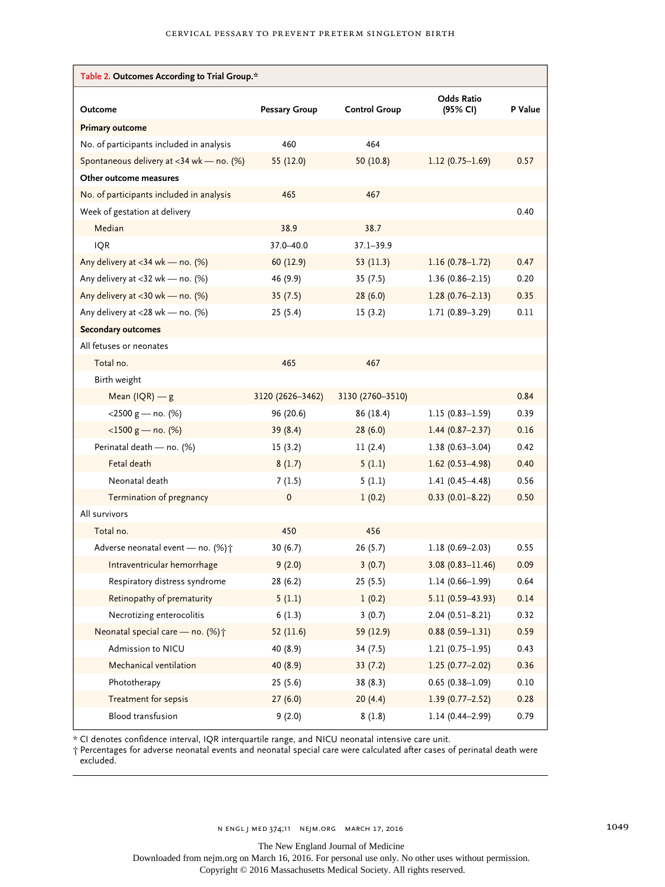| Table 2. Outcomes According to Trial Group.* |                      |                      |                               |         |  |
|----------------------------------------------|----------------------|----------------------|-------------------------------|---------|--|
| Outcome                                      | <b>Pessary Group</b> | <b>Control Group</b> | <b>Odds Ratio</b><br>(95% CI) | P Value |  |
| <b>Primary outcome</b>                       |                      |                      |                               |         |  |
| No. of participants included in analysis     | 460                  | 464                  |                               |         |  |
| Spontaneous delivery at <34 wk - no. (%)     | 55 (12.0)            | 50(10.8)             | $1.12(0.75 - 1.69)$           | 0.57    |  |
| Other outcome measures                       |                      |                      |                               |         |  |
| No. of participants included in analysis     | 465                  | 467                  |                               |         |  |
| Week of gestation at delivery                |                      |                      |                               | 0.40    |  |
| Median                                       | 38.9                 | 38.7                 |                               |         |  |
| <b>IQR</b>                                   | 37.0-40.0            | 37.1-39.9            |                               |         |  |
| Any delivery at $<$ 34 wk — no. (%)          | 60 (12.9)            | 53 $(11.3)$          | $1.16(0.78 - 1.72)$           | 0.47    |  |
| Any delivery at $<$ 32 wk — no. (%)          | 46 (9.9)             | 35(7.5)              | $1.36(0.86 - 2.15)$           | 0.20    |  |
| Any delivery at $<$ 30 wk — no. (%)          | 35(7.5)              | 28(6.0)              | $1.28(0.76 - 2.13)$           | 0.35    |  |
| Any delivery at $<$ 28 wk — no. (%)          | 25(5.4)              | 15(3.2)              | 1.71 (0.89-3.29)              | 0.11    |  |
| <b>Secondary outcomes</b>                    |                      |                      |                               |         |  |
| All fetuses or neonates                      |                      |                      |                               |         |  |
| Total no.                                    | 465                  | 467                  |                               |         |  |
| Birth weight                                 |                      |                      |                               |         |  |
| Mean $(IQR)$ - $g$                           | 3120 (2626-3462)     | 3130 (2760-3510)     |                               | 0.84    |  |
| $<$ 2500 g – no. (%)                         | 96 (20.6)            | 86 (18.4)            | $1.15(0.83 - 1.59)$           | 0.39    |  |
| $<$ 1500 g — no. (%)                         | 39(8.4)              | 28(6.0)              | $1.44(0.87 - 2.37)$           | 0.16    |  |
| Perinatal death - no. (%)                    | 15(3.2)              | 11(2.4)              | $1.38(0.63 - 3.04)$           | 0.42    |  |
| Fetal death                                  | 8(1.7)               | 5(1.1)               | $1.62(0.53 - 4.98)$           | 0.40    |  |
| Neonatal death                               | 7(1.5)               | 5(1.1)               | $1.41(0.45 - 4.48)$           | 0.56    |  |
| Termination of pregnancy                     | $\pmb{0}$            | 1(0.2)               | $0.33(0.01 - 8.22)$           | 0.50    |  |
| All survivors                                |                      |                      |                               |         |  |
| Total no.                                    | 450                  | 456                  |                               |         |  |
| Adverse neonatal event - no. (%) $\uparrow$  | 30(6.7)              | 26(5.7)              | $1.18(0.69 - 2.03)$           | 0.55    |  |
| Intraventricular hemorrhage                  | 9(2.0)               | 3(0.7)               | $3.08(0.83 - 11.46)$          | 0.09    |  |
| Respiratory distress syndrome                | 28 (6.2)             | 25(5.5)              | $1.14(0.66 - 1.99)$           | 0.64    |  |
| Retinopathy of prematurity                   | 5(1.1)               | 1(0.2)               | $5.11(0.59 - 43.93)$          | 0.14    |  |
| Necrotizing enterocolitis                    | 6(1.3)               | 3(0.7)               | $2.04(0.51 - 8.21)$           | 0.32    |  |
| Neonatal special care - no. (%) +            | 52(11.6)             | 59 (12.9)            | $0.88(0.59 - 1.31)$           | 0.59    |  |
| Admission to NICU                            | 40 (8.9)             | 34 (7.5)             | $1.21(0.75 - 1.95)$           | 0.43    |  |
| Mechanical ventilation                       | 40 (8.9)             | 33(7.2)              | $1.25(0.77 - 2.02)$           | 0.36    |  |
| Phototherapy                                 | 25(5.6)              | 38 (8.3)             | $0.65(0.38 - 1.09)$           | 0.10    |  |
| Treatment for sepsis                         | 27(6.0)              | 20(4.4)              | $1.39(0.77 - 2.52)$           | 0.28    |  |
| Blood transfusion                            | 9(2.0)               | 8(1.8)               | $1.14(0.44 - 2.99)$           | 0.79    |  |

\* CI denotes confidence interval, IQR interquartile range, and NICU neonatal intensive care unit.

† Percentages for adverse neonatal events and neonatal special care were calculated after cases of perinatal death were excluded.

N ENGL J MED 374;11 NEJM.ORG MARCH 17, 2016 1049

The New England Journal of Medicine

Downloaded from nejm.org on March 16, 2016. For personal use only. No other uses without permission.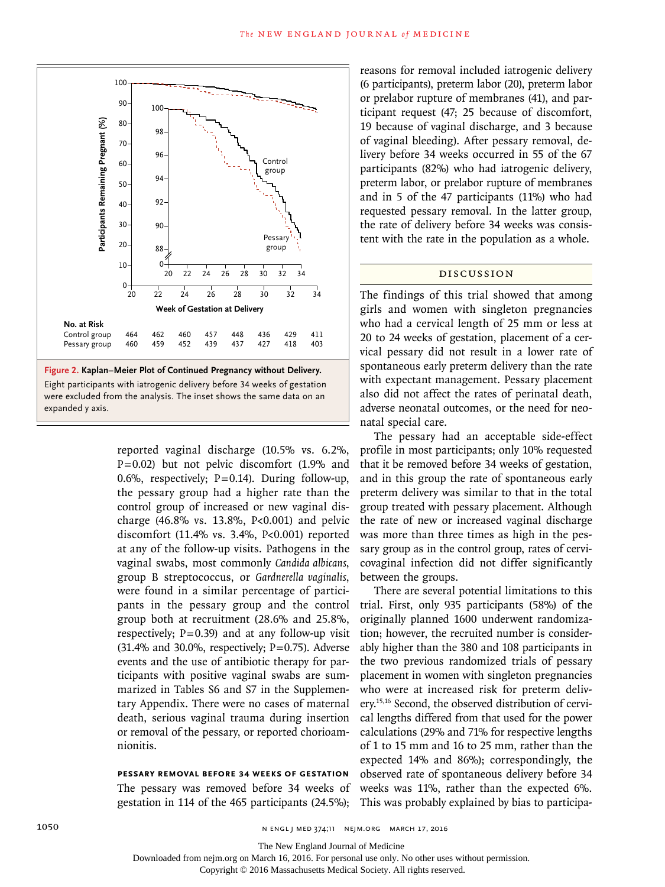

reported vaginal discharge (10.5% vs. 6.2%, P=0.02) but not pelvic discomfort (1.9% and 0.6%, respectively;  $P=0.14$ ). During follow-up, the pessary group had a higher rate than the control group of increased or new vaginal discharge (46.8% vs. 13.8%, P<0.001) and pelvic discomfort (11.4% vs. 3.4%, P<0.001) reported at any of the follow-up visits. Pathogens in the vaginal swabs, most commonly *Candida albicans*, group B streptococcus, or *Gardnerella vaginalis*, were found in a similar percentage of participants in the pessary group and the control group both at recruitment (28.6% and 25.8%, respectively;  $P=0.39$  and at any follow-up visit  $(31.4\%$  and  $30.0\%$ , respectively; P=0.75). Adverse events and the use of antibiotic therapy for participants with positive vaginal swabs are summarized in Tables S6 and S7 in the Supplementary Appendix. There were no cases of maternal death, serious vaginal trauma during insertion or removal of the pessary, or reported chorioamnionitis.

**Pessary Removal before 34 Weeks of Gestation** The pessary was removed before 34 weeks of gestation in 114 of the 465 participants (24.5%);

reasons for removal included iatrogenic delivery (6 participants), preterm labor (20), preterm labor or prelabor rupture of membranes (41), and participant request (47; 25 because of discomfort, 19 because of vaginal discharge, and 3 because of vaginal bleeding). After pessary removal, delivery before 34 weeks occurred in 55 of the 67 participants (82%) who had iatrogenic delivery, preterm labor, or prelabor rupture of membranes and in 5 of the 47 participants (11%) who had requested pessary removal. In the latter group, the rate of delivery before 34 weeks was consistent with the rate in the population as a whole.

# Discussion

The findings of this trial showed that among girls and women with singleton pregnancies who had a cervical length of 25 mm or less at 20 to 24 weeks of gestation, placement of a cervical pessary did not result in a lower rate of spontaneous early preterm delivery than the rate with expectant management. Pessary placement also did not affect the rates of perinatal death, adverse neonatal outcomes, or the need for neonatal special care.

The pessary had an acceptable side-effect profile in most participants; only 10% requested that it be removed before 34 weeks of gestation, and in this group the rate of spontaneous early preterm delivery was similar to that in the total group treated with pessary placement. Although the rate of new or increased vaginal discharge was more than three times as high in the pessary group as in the control group, rates of cervicovaginal infection did not differ significantly between the groups.

There are several potential limitations to this trial. First, only 935 participants (58%) of the originally planned 1600 underwent randomization; however, the recruited number is considerably higher than the 380 and 108 participants in the two previous randomized trials of pessary placement in women with singleton pregnancies who were at increased risk for preterm delivery.15,16 Second, the observed distribution of cervical lengths differed from that used for the power calculations (29% and 71% for respective lengths of 1 to 15 mm and 16 to 25 mm, rather than the expected 14% and 86%); correspondingly, the observed rate of spontaneous delivery before 34 weeks was 11%, rather than the expected 6%. This was probably explained by bias to participa-

The New England Journal of Medicine

Downloaded from nejm.org on March 16, 2016. For personal use only. No other uses without permission.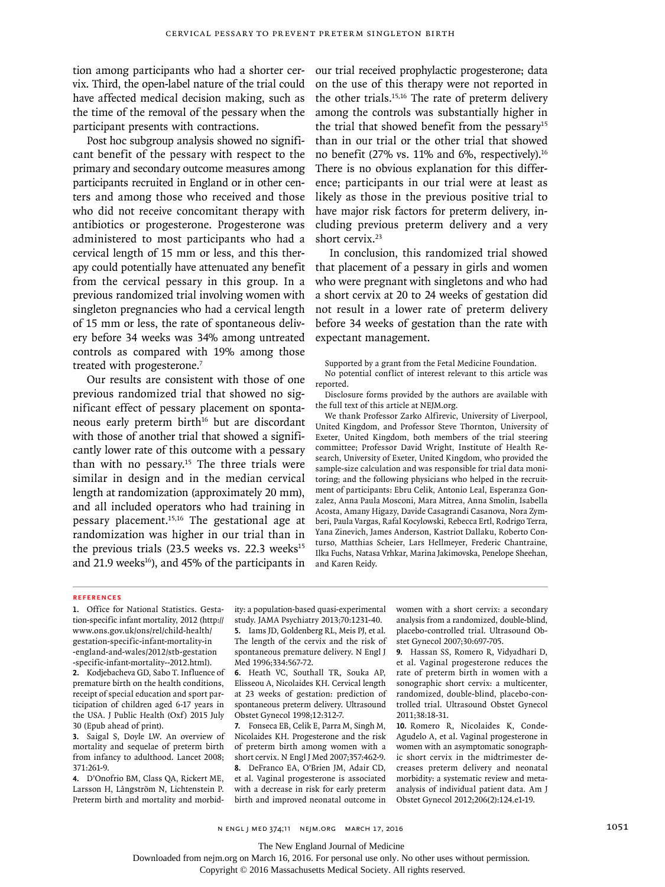tion among participants who had a shorter cervix. Third, the open-label nature of the trial could have affected medical decision making, such as the time of the removal of the pessary when the participant presents with contractions.

Post hoc subgroup analysis showed no significant benefit of the pessary with respect to the primary and secondary outcome measures among participants recruited in England or in other centers and among those who received and those who did not receive concomitant therapy with antibiotics or progesterone. Progesterone was administered to most participants who had a cervical length of 15 mm or less, and this therapy could potentially have attenuated any benefit from the cervical pessary in this group. In a previous randomized trial involving women with singleton pregnancies who had a cervical length of 15 mm or less, the rate of spontaneous delivery before 34 weeks was 34% among untreated controls as compared with 19% among those treated with progesterone.<sup>7</sup>

Our results are consistent with those of one previous randomized trial that showed no significant effect of pessary placement on spontaneous early preterm birth<sup>16</sup> but are discordant with those of another trial that showed a significantly lower rate of this outcome with a pessary than with no pessary.<sup>15</sup> The three trials were similar in design and in the median cervical length at randomization (approximately 20 mm), and all included operators who had training in pessary placement.15,16 The gestational age at randomization was higher in our trial than in the previous trials (23.5 weeks vs. 22.3 weeks $15$ and 21.9 weeks<sup>16</sup>), and 45% of the participants in our trial received prophylactic progesterone; data on the use of this therapy were not reported in the other trials.15,16 The rate of preterm delivery among the controls was substantially higher in the trial that showed benefit from the pessary<sup>15</sup> than in our trial or the other trial that showed no benefit (27% vs. 11% and 6%, respectively).16 There is no obvious explanation for this difference; participants in our trial were at least as likely as those in the previous positive trial to have major risk factors for preterm delivery, including previous preterm delivery and a very short cervix.<sup>23</sup>

In conclusion, this randomized trial showed that placement of a pessary in girls and women who were pregnant with singletons and who had a short cervix at 20 to 24 weeks of gestation did not result in a lower rate of preterm delivery before 34 weeks of gestation than the rate with expectant management.

Supported by a grant from the Fetal Medicine Foundation. No potential conflict of interest relevant to this article was reported.

Disclosure forms provided by the authors are available with the full text of this article at NEJM.org.

We thank Professor Zarko Alfirevic, University of Liverpool, United Kingdom, and Professor Steve Thornton, University of Exeter, United Kingdom, both members of the trial steering committee; Professor David Wright, Institute of Health Research, University of Exeter, United Kingdom, who provided the sample-size calculation and was responsible for trial data monitoring; and the following physicians who helped in the recruitment of participants: Ebru Celik, Antonio Leal, Esperanza Gonzalez, Anna Paula Mosconi, Mara Mitrea, Anna Smolin, Isabella Acosta, Amany Higazy, Davide Casagrandi Casanova, Nora Zymberi, Paula Vargas, Rafal Kocylowski, Rebecca Ertl, Rodrigo Terra, Yana Zinevich, James Anderson, Kastriot Dallaku, Roberto Conturso, Matthias Scheier, Lars Hellmeyer, Frederic Chantraine, Ilka Fuchs, Natasa Vrhkar, Marina Jakimovska, Penelope Sheehan, and Karen Reidy.

#### **References**

**1.** Office for National Statistics. Gestation-specific infant mortality, 2012 (http:// www.ons.gov.uk/ons/rel/child-health/ gestation-specific-infant-mortality-in -england-and-wales/2012/stb-gestation -specific-infant-mortality--2012.html).

**2.** Kodjebacheva GD, Sabo T. Influence of premature birth on the health conditions, receipt of special education and sport participation of children aged 6-17 years in the USA. J Public Health (Oxf) 2015 July 30 (Epub ahead of print).

**3.** Saigal S, Doyle LW. An overview of mortality and sequelae of preterm birth from infancy to adulthood. Lancet 2008; 371:261-9.

**4.** D'Onofrio BM, Class QA, Rickert ME, Larsson H, Långström N, Lichtenstein P. Preterm birth and mortality and morbidity: a population-based quasi-experimental study. JAMA Psychiatry 2013;70:1231-40. **5.** Iams JD, Goldenberg RL, Meis PJ, et al. The length of the cervix and the risk of spontaneous premature delivery. N Engl J Med 1996;334:567-72.

**6.** Heath VC, Southall TR, Souka AP, Elisseou A, Nicolaides KH. Cervical length at 23 weeks of gestation: prediction of spontaneous preterm delivery. Ultrasound Obstet Gynecol 1998;12:312-7.

**7.** Fonseca EB, Celik E, Parra M, Singh M, Nicolaides KH. Progesterone and the risk of preterm birth among women with a short cervix. N Engl J Med 2007;357:462-9. **8.** DeFranco EA, O'Brien JM, Adair CD, et al. Vaginal progesterone is associated with a decrease in risk for early preterm birth and improved neonatal outcome in

women with a short cervix: a secondary analysis from a randomized, double-blind, placebo-controlled trial. Ultrasound Obstet Gynecol 2007;30:697-705.

**9.** Hassan SS, Romero R, Vidyadhari D, et al. Vaginal progesterone reduces the rate of preterm birth in women with a sonographic short cervix: a multicenter, randomized, double-blind, placebo-controlled trial. Ultrasound Obstet Gynecol 2011;38:18-31.

**10.** Romero R, Nicolaides K, Conde-Agudelo A, et al. Vaginal progesterone in women with an asymptomatic sonographic short cervix in the midtrimester decreases preterm delivery and neonatal morbidity: a systematic review and metaanalysis of individual patient data. Am J Obstet Gynecol 2012;206(2):124.e1-19.

n engl j med 374;11 nejm.org March 17, 2016 1051 1051 1051

The New England Journal of Medicine

Downloaded from nejm.org on March 16, 2016. For personal use only. No other uses without permission.